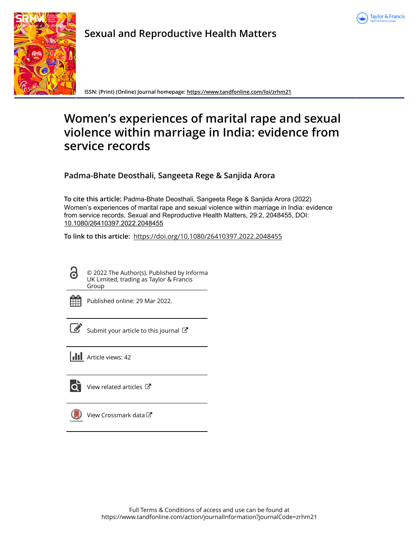



**Sexual and Reproductive Health Matters**

**ISSN: (Print) (Online) Journal homepage:<https://www.tandfonline.com/loi/zrhm21>**

# **Women's experiences of marital rape and sexual violence within marriage in India: evidence from service records**

**Padma-Bhate Deosthali, Sangeeta Rege & Sanjida Arora**

**To cite this article:** Padma-Bhate Deosthali, Sangeeta Rege & Sanjida Arora (2022) Women's experiences of marital rape and sexual violence within marriage in India: evidence from service records, Sexual and Reproductive Health Matters, 29:2, 2048455, DOI: [10.1080/26410397.2022.2048455](https://www.tandfonline.com/action/showCitFormats?doi=10.1080/26410397.2022.2048455)

**To link to this article:** <https://doi.org/10.1080/26410397.2022.2048455>

G

© 2022 The Author(s). Published by Informa UK Limited, trading as Taylor & Francis Group



Published online: 29 Mar 2022.

[Submit your article to this journal](https://www.tandfonline.com/action/authorSubmission?journalCode=zrhm21&show=instructions)  $\mathbb{Z}$ 

**Article views: 42** 



[View related articles](https://www.tandfonline.com/doi/mlt/10.1080/26410397.2022.2048455) C



[View Crossmark data](http://crossmark.crossref.org/dialog/?doi=10.1080/26410397.2022.2048455&domain=pdf&date_stamp=2022-03-29)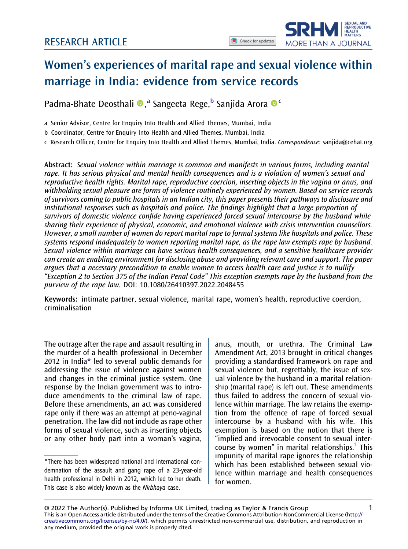SEXUAL AND SEXUAL AND<br>REPRODUCTIVE<br>HEALTH<br>MATTERS

MORE THAN A JOURNAL



Padma-Bhate Deosthali ®,ª Sangeeta Rege,<sup>b</sup> Sanjida Arora ®<sup>c</sup>

a Senior Advisor, Centre for Enquiry Into Health and Allied Themes, Mumbai, India

b Coordinator, Centre for Enquiry Into Health and Allied Themes, Mumbai, India

c Research Officer, Centre for Enquiry Into Health and Allied Themes, Mumbai, India. Correspondence: [sanjida@cehat.org](mailto:sanjida@cehat.org)

Abstract: Sexual violence within marriage is common and manifests in various forms, including marital rape. It has serious physical and mental health consequences and is a violation of women's sexual and reproductive health rights. Marital rape, reproductive coercion, inserting objects in the vagina or anus, and withholding sexual pleasure are forms of violence routinely experienced by women. Based on service records of survivors coming to public hospitals in an Indian city, this paper presents their pathways to disclosure and institutional responses such as hospitals and police. The findings highlight that a large proportion of survivors of domestic violence confide having experienced forced sexual intercourse by the husband while sharing their experience of physical, economic, and emotional violence with crisis intervention counsellors. However, a small number of women do report marital rape to formal systems like hospitals and police. These systems respond inadequately to women reporting marital rape, as the rape law exempts rape by husband. Sexual violence within marriage can have serious health consequences, and a sensitive healthcare provider can create an enabling environment for disclosing abuse and providing relevant care and support. The paper argues that a necessary precondition to enable women to access health care and justice is to nullify "Exception 2 to Section 375 of the Indian Penal Code" This exception exempts rape by the husband from the purview of the rape law. DOI: 10.1080/26410397.2022.2048455

Keywords: intimate partner, sexual violence, marital rape, women's health, reproductive coercion, criminalisation

The outrage after the rape and assault resulting in the murder of a health professional in December 2012 in India[\\*](#page-1-0) led to several public demands for addressing the issue of violence against women and changes in the criminal justice system. One response by the Indian government was to introduce amendments to the criminal law of rape. Before these amendments, an act was considered rape only if there was an attempt at peno-vaginal penetration. The law did not include as rape other forms of sexual violence, such as inserting objects or any other body part into a woman's vagina, <span id="page-1-1"></span>anus, mouth, or urethra. The Criminal Law Amendment Act, 2013 brought in critical changes providing a standardised framework on rape and sexual violence but, regrettably, the issue of sexual violence by the husband in a marital relationship (marital rape) is left out. These amendments thus failed to address the concern of sexual violence within marriage. The law retains the exemption from the offence of rape of forced sexual intercourse by a husband with his wife. This exemption is based on the notion that there is "implied and irrevocable consent to sexual intercourse by women" in marital relationships. $1$  This impunity of marital rape ignores the relationship which has been established between sexual violence within marriage and health consequences for women.

<span id="page-1-0"></span><sup>\*</sup>There has been widespread national and international condemnation of the assault and gang rape of a 23-year-old health professional in Delhi in 2012, which led to her death. This case is also widely known as the Nirbhaya case.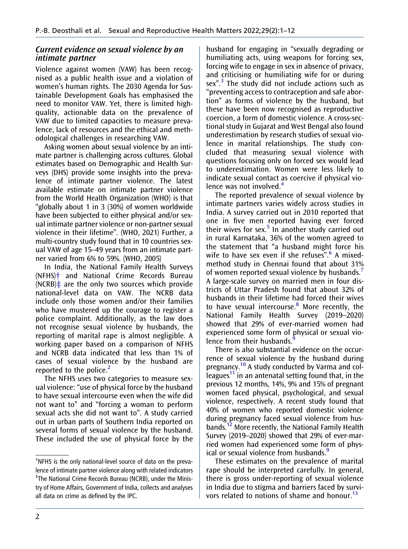# Current evidence on sexual violence by an intimate partner

Violence against women (VAW) has been recognised as a public health issue and a violation of women's human rights. The 2030 Agenda for Sustainable Development Goals has emphasised the need to monitor VAW. Yet, there is limited highquality, actionable data on the prevalence of VAW due to limited capacities to measure prevalence, lack of resources and the ethical and methodological challenges in researching VAW.

Asking women about sexual violence by an intimate partner is challenging across cultures. Global estimates based on Demographic and Health Surveys (DHS) provide some insights into the prevalence of intimate partner violence. The latest available estimate on intimate partner violence from the World Health Organization (WHO) is that "globally about 1 in 3 (30%) of women worldwide have been subjected to either physical and/or sexual intimate partner violence or non-partner sexual violence in their lifetime". (WHO, 2021) Further, a multi-country study found that in 10 countries sexual VAW of age 15–49 years from an intimate partner varied from 6% to 59%. (WHO, 2005)

In India, the National Family Health Surveys (NFHS)[†](#page-2-0) and National Crime Records Bureau (NCRB) $\ddagger$  are the only two sources which provide national-level data on VAW. The NCRB data include only those women and/or their families who have mustered up the courage to register a police complaint. Additionally, as the law does not recognise sexual violence by husbands, the reporting of marital rape is almost negligible. A working paper based on a comparison of NFHS and NCRB data indicated that less than 1% of cases of sexual violence by the husband are reported to the police. $<sup>2</sup>$  $<sup>2</sup>$  $<sup>2</sup>$ </sup>

<span id="page-2-2"></span>The NFHS uses two categories to measure sexual violence: "use of physical force by the husband to have sexual intercourse even when the wife did not want to" and "forcing a woman to perform sexual acts she did not want to". A study carried out in urban parts of Southern India reported on several forms of sexual violence by the husband. These included the use of physical force by the

<span id="page-2-3"></span>husband for engaging in "sexually degrading or humiliating acts, using weapons for forcing sex, forcing wife to engage in sex in absence of privacy, and criticising or humiliating wife for or during sex".<sup>[3](#page-10-2)</sup> The study did not include actions such as "preventing access to contraception and safe abortion" as forms of violence by the husband, but these have been now recognised as reproductive coercion, a form of domestic violence. A cross-sectional study in Gujarat and West Bengal also found underestimation by research studies of sexual violence in marital relationships. The study concluded that measuring sexual violence with questions focusing only on forced sex would lead to underestimation. Women were less likely to indicate sexual contact as coercive if physical violence was not involved.<sup>4</sup>

<span id="page-2-7"></span><span id="page-2-6"></span><span id="page-2-5"></span><span id="page-2-4"></span>The reported prevalence of sexual violence by intimate partners varies widely across studies in India. A survey carried out in 2010 reported that one in five men reported having ever forced their wives for sex. $5$  In another study carried out in rural Karnataka, 36% of the women agreed to the statement that "a husband might force his wife to have sex even if she refuses".<sup>[6](#page-10-5)</sup> A mixedmethod study in Chennai found that about 31% of women reported sexual violence by husbands.[7](#page-10-6) A large-scale survey on married men in four districts of Uttar Pradesh found that about 32% of husbands in their lifetime had forced their wives to have sexual intercourse.<sup>[8](#page-10-7)</sup> More recently, the National Family Health Survey (2019–2020) showed that 29% of ever-married women had experienced some form of physical or sexual violence from their husbands.[9](#page-10-8)

<span id="page-2-11"></span><span id="page-2-10"></span><span id="page-2-8"></span>There is also substantial evidence on the occurrence of sexual violence by the husband during pregnancy.<sup>10</sup> A study conducted by Varma and colleagues<sup>11</sup> in an antenatal setting found that, in the previous 12 months, 14%, 9% and 15% of pregnant women faced physical, psychological, and sexual violence, respectively. A recent study found that 40% of women who reported domestic violence during pregnancy faced sexual violence from husbands.[12](#page-10-11) More recently, the National Family Health Survey (2019–2020) showed that 29% of ever-married women had experienced some form of physical or sexual violence from husbands.<sup>9</sup>

<span id="page-2-13"></span><span id="page-2-12"></span><span id="page-2-9"></span>These estimates on the prevalence of marital rape should be interpreted carefully. In general, there is gross under-reporting of sexual violence in India due to stigma and barriers faced by survivors related to notions of shame and honour.<sup>13</sup>

<span id="page-2-1"></span><span id="page-2-0"></span><sup>†</sup> NFHS is the only national-level source of data on the prevalence of intimate partner violence along with related indicators ‡ The National Crime Records Bureau (NCRB), under the Ministry of Home Affairs, Government of India, collects and analyses all data on crime as defined by the IPC.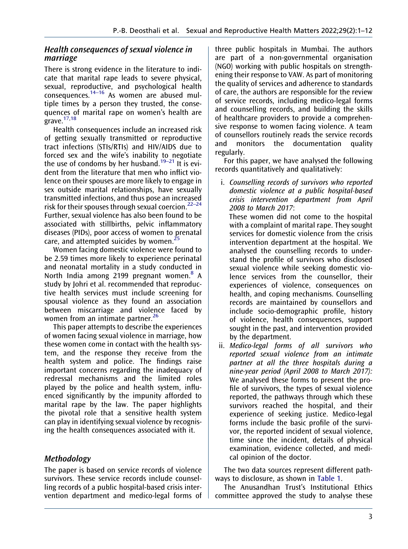# Health consequences of sexual violence in marriage

<span id="page-3-0"></span>There is strong evidence in the literature to indicate that marital rape leads to severe physical, sexual, reproductive, and psychological health consequences. $14-16$  As women are abused multiple times by a person they trusted, the consequences of marital rape on women's health are grave. $17,18$  $17,18$ 

<span id="page-3-2"></span><span id="page-3-1"></span>Health consequences include an increased risk of getting sexually transmitted or reproductive tract infections (STIs/RTIs) and HIV/AIDS due to forced sex and the wife's inability to negotiate the use of condoms by her husband.<sup>19–21</sup> It is evident from the literature that men who inflict violence on their spouses are more likely to engage in sex outside marital relationships, have sexually transmitted infections, and thus pose an increased risk for their spouses through sexual coercion.22–<sup>24</sup> Further, sexual violence has also been found to be associated with stillbirths, pelvic inflammatory diseases (PIDs), poor access of women to prenatal care, and attempted suicides by women.<sup>2</sup>

<span id="page-3-4"></span><span id="page-3-3"></span>Women facing domestic violence were found to be 2.59 times more likely to experience perinatal and neonatal mortality in a study conducted in North India among 2199 pregnant women.<sup>[8](#page-10-7)</sup> A study by Johri et al. recommended that reproductive health services must include screening for spousal violence as they found an association between miscarriage and violence faced by women from an intimate partner.<sup>[26](#page-11-1)</sup>

<span id="page-3-5"></span>This paper attempts to describe the experiences of women facing sexual violence in marriage, how these women come in contact with the health system, and the response they receive from the health system and police. The findings raise important concerns regarding the inadequacy of redressal mechanisms and the limited roles played by the police and health system, influenced significantly by the impunity afforded to marital rape by the law. The paper highlights the pivotal role that a sensitive health system can play in identifying sexual violence by recognising the health consequences associated with it.

# Methodology

The paper is based on service records of violence survivors. These service records include counselling records of a public hospital-based crisis intervention department and medico-legal forms of three public hospitals in Mumbai. The authors are part of a non-governmental organisation (NGO) working with public hospitals on strengthening their response to VAW. As part of monitoring the quality of services and adherence to standards of care, the authors are responsible for the review of service records, including medico-legal forms and counselling records, and building the skills of healthcare providers to provide a comprehensive response to women facing violence. A team of counsellors routinely reads the service records and monitors the documentation quality regularly.

For this paper, we have analysed the following records quantitatively and qualitatively:

i. Counselling records of survivors who reported domestic violence at a public hospital-based crisis intervention department from April 2008 to March 2017:

These women did not come to the hospital with a complaint of marital rape. They sought services for domestic violence from the crisis intervention department at the hospital. We analysed the counselling records to understand the profile of survivors who disclosed sexual violence while seeking domestic violence services from the counsellor, their experiences of violence, consequences on health, and coping mechanisms. Counselling records are maintained by counsellors and include socio-demographic profile, history of violence, health consequences, support sought in the past, and intervention provided by the department.

ii. Medico-legal forms of all survivors who reported sexual violence from an intimate partner at all the three hospitals during a nine-year period (April 2008 to March 2017): We analysed these forms to present the profile of survivors, the types of sexual violence reported, the pathways through which these survivors reached the hospital, and their experience of seeking justice. Medico-legal forms include the basic profile of the survivor, the reported incident of sexual violence, time since the incident, details of physical examination, evidence collected, and medical opinion of the doctor.

The two data sources represent different pathways to disclosure, as shown in [Table 1.](#page-4-0)

The Anusandhan Trust's Institutional Ethics committee approved the study to analyse these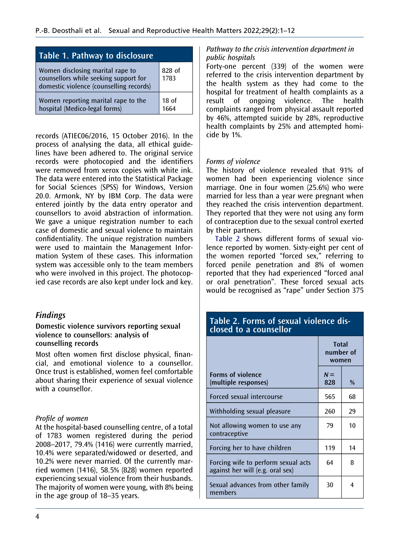<span id="page-4-0"></span>

| Table 1. Pathway to disclosure                                                                                       |                           |  |
|----------------------------------------------------------------------------------------------------------------------|---------------------------|--|
| Women disclosing marital rape to<br>counsellors while seeking support for<br>domestic violence (counselling records) | 828 of<br>1783            |  |
| Women reporting marital rape to the<br>hospital (Medico-legal forms)                                                 | 18 <sub>o</sub> f<br>1664 |  |

records (ATIEC06/2016, 15 October 2016). In the process of analysing the data, all ethical guidelines have been adhered to. The original service records were photocopied and the identifiers were removed from xerox copies with white ink. The data were entered into the Statistical Package for Social Sciences (SPSS) for Windows, Version 20.0. Armonk, NY by IBM Corp. The data were entered jointly by the data entry operator and counsellors to avoid abstraction of information. We gave a unique registration number to each case of domestic and sexual violence to maintain confidentiality. The unique registration numbers were used to maintain the Management Information System of these cases. This information system was accessible only to the team members who were involved in this project. The photocopied case records are also kept under lock and key.

# Findings

#### Domestic violence survivors reporting sexual violence to counsellors: analysis of counselling records

Most often women first disclose physical, financial, and emotional violence to a counsellor. Once trust is established, women feel comfortable about sharing their experience of sexual violence with a counsellor.

# Profile of women

At the hospital-based counselling centre, of a total of 1783 women registered during the period 2008–2017, 79.4% (1416) were currently married, 10.4% were separated/widowed or deserted, and 10.2% were never married. Of the currently married women (1416), 58.5% (828) women reported experiencing sexual violence from their husbands. The majority of women were young, with 8% being in the age group of 18–35 years.

# Pathway to the crisis intervention department in public hospitals

Forty-one percent (339) of the women were referred to the crisis intervention department by the health system as they had come to the hospital for treatment of health complaints as a result of ongoing violence. The health complaints ranged from physical assault reported by 46%, attempted suicide by 28%, reproductive health complaints by 25% and attempted homicide by 1%.

# Forms of violence

The history of violence revealed that 91% of women had been experiencing violence since marriage. One in four women (25.6%) who were married for less than a year were pregnant when they reached the crisis intervention department. They reported that they were not using any form of contraception due to the sexual control exerted by their partners.

[Table 2](#page-4-1) shows different forms of sexual violence reported by women. Sixty-eight per cent of the women reported "forced sex," referring to forced penile penetration and 8% of women reported that they had experienced "forced anal or oral penetration". These forced sexual acts would be recognised as "rape" under Section 375

# <span id="page-4-1"></span>Table 2. Forms of sexual violence disclosed to a counsellor

|                                                                         | <b>Total</b><br>number of<br>women |    |
|-------------------------------------------------------------------------|------------------------------------|----|
| <b>Forms of violence</b><br>(multiple responses)                        | $N =$<br>828                       | %  |
| Forced sexual intercourse                                               | 565                                | 68 |
| Withholding sexual pleasure                                             | 260                                | 29 |
| Not allowing women to use any<br>contraceptive                          | 79                                 | 10 |
| Forcing her to have children                                            | 119                                | 14 |
| Forcing wife to perform sexual acts<br>against her will (e.g. oral sex) | 64                                 | 8  |
| Sexual advances from other family<br>members                            | 30                                 | 4  |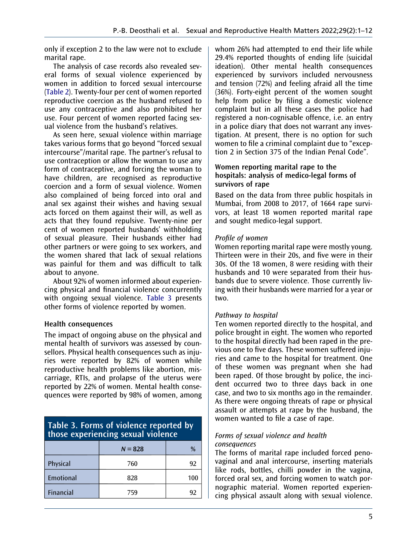only if exception 2 to the law were not to exclude marital rape.

The analysis of case records also revealed several forms of sexual violence experienced by women in addition to forced sexual intercourse [\(Table 2](#page-4-1)). Twenty-four per cent of women reported reproductive coercion as the husband refused to use any contraceptive and also prohibited her use. Four percent of women reported facing sexual violence from the husband's relatives.

As seen here, sexual violence within marriage takes various forms that go beyond "forced sexual intercourse"/marital rape. The partner's refusal to use contraception or allow the woman to use any form of contraceptive, and forcing the woman to have children, are recognised as reproductive coercion and a form of sexual violence. Women also complained of being forced into oral and anal sex against their wishes and having sexual acts forced on them against their will, as well as acts that they found repulsive. Twenty-nine per cent of women reported husbands' withholding of sexual pleasure. Their husbands either had other partners or were going to sex workers, and the women shared that lack of sexual relations was painful for them and was difficult to talk about to anyone.

About 92% of women informed about experiencing physical and financial violence concurrently with ongoing sexual violence. [Table 3](#page-5-0) presents other forms of violence reported by women.

# Health consequences

The impact of ongoing abuse on the physical and mental health of survivors was assessed by counsellors. Physical health consequences such as injuries were reported by 82% of women while reproductive health problems like abortion, miscarriage, RTIs, and prolapse of the uterus were reported by 22% of women. Mental health consequences were reported by 98% of women, among

# <span id="page-5-0"></span>Table 3. Forms of violence reported by those experiencing sexual violence

|                  | $N = 828$ | %   |
|------------------|-----------|-----|
| Physical         | 760       | 92  |
| Emotional        | 828       | 100 |
| <b>Financial</b> | 759       | 92  |

whom 26% had attempted to end their life while 29.4% reported thoughts of ending life (suicidal ideation). Other mental health consequences experienced by survivors included nervousness and tension (72%) and feeling afraid all the time (36%). Forty-eight percent of the women sought help from police by filing a domestic violence complaint but in all these cases the police had registered a non-cognisable offence, i.e. an entry in a police diary that does not warrant any investigation. At present, there is no option for such women to file a criminal complaint due to "exception 2 in Section 375 of the Indian Penal Code".

#### Women reporting marital rape to the hospitals: analysis of medico-legal forms of survivors of rape

Based on the data from three public hospitals in Mumbai, from 2008 to 2017, of 1664 rape survivors, at least 18 women reported marital rape and sought medico-legal support.

# Profile of women

Women reporting marital rape were mostly young. Thirteen were in their 20s, and five were in their 30s. Of the 18 women, 8 were residing with their husbands and 10 were separated from their husbands due to severe violence. Those currently living with their husbands were married for a year or two.

## Pathway to hospital

Ten women reported directly to the hospital, and police brought in eight. The women who reported to the hospital directly had been raped in the previous one to five days. These women suffered injuries and came to the hospital for treatment. One of these women was pregnant when she had been raped. Of those brought by police, the incident occurred two to three days back in one case, and two to six months ago in the remainder. As there were ongoing threats of rape or physical assault or attempts at rape by the husband, the women wanted to file a case of rape.

#### Forms of sexual violence and health consequences

The forms of marital rape included forced penovaginal and anal intercourse, inserting materials like rods, bottles, chilli powder in the vagina, forced oral sex, and forcing women to watch pornographic material. Women reported experiencing physical assault along with sexual violence.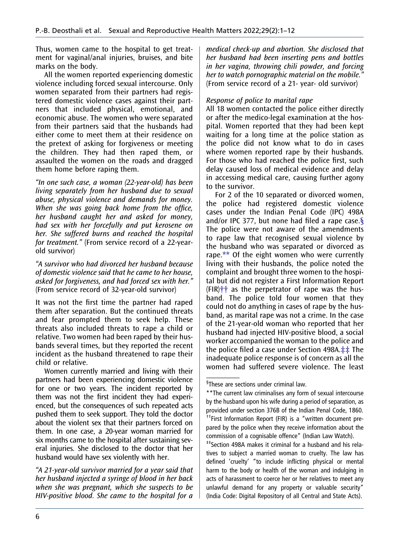Thus, women came to the hospital to get treatment for vaginal/anal injuries, bruises, and bite marks on the body.

All the women reported experiencing domestic violence including forced sexual intercourse. Only women separated from their partners had registered domestic violence cases against their partners that included physical, emotional, and economic abuse. The women who were separated from their partners said that the husbands had either come to meet them at their residence on the pretext of asking for forgiveness or meeting the children. They had then raped them, or assaulted the women on the roads and dragged them home before raping them.

"In one such case, a woman (22-year-old) has been living separately from her husband due to sexual abuse, physical violence and demands for money. When she was going back home from the office, her husband caught her and asked for money, had sex with her forcefully and put kerosene on her. She suffered burns and reached the hospital for treatment." (From service record of a 22-yearold survivor)

"A survivor who had divorced her husband because of domestic violence said that he came to her house, asked for forgiveness, and had forced sex with her." (From service record of 32-year-old survivor)

It was not the first time the partner had raped them after separation. But the continued threats and fear prompted them to seek help. These threats also included threats to rape a child or relative. Two women had been raped by their husbands several times, but they reported the recent incident as the husband threatened to rape their child or relative.

Women currently married and living with their partners had been experiencing domestic violence for one or two years. The incident reported by them was not the first incident they had experienced, but the consequences of such repeated acts pushed them to seek support. They told the doctor about the violent sex that their partners forced on them. In one case, a 20-year woman married for six months came to the hospital after sustaining several injuries. She disclosed to the doctor that her husband would have sex violently with her.

"A 21-year-old survivor married for a year said that her husband injected a syringe of blood in her back when she was pregnant, which she suspects to be HIV-positive blood. She came to the hospital for a

medical check-up and abortion. She disclosed that her husband had been inserting pens and bottles in her vagina, throwing chili powder, and forcing her to watch pornographic material on the mobile." (From service record of a 21- year- old survivor)

#### Response of police to marital rape

All 18 women contacted the police either directly or after the medico-legal examination at the hospital. Women reported that they had been kept waiting for a long time at the police station as the police did not know what to do in cases where women reported rape by their husbands. For those who had reached the police first, such delay caused loss of medical evidence and delay in accessing medical care, causing further agony to the survivor.

For 2 of the 10 separated or divorced women, the police had registered domestic violence cases under the Indian Penal Code (IPC) 498A and/or IPC 377, but none had filed a rape case. $\S$ The police were not aware of the amendments to rape law that recognised sexual violence by the husband who was separated or divorced as rape[.\\*\\*](#page-6-1) Of the eight women who were currently living with their husbands, the police noted the complaint and brought three women to the hospital but did not register a First Information Report  $(FIR)$ <sup>++</sup> as the perpetrator of rape was the husband. The police told four women that they could not do anything in cases of rape by the husband, as marital rape was not a crime. In the case of the 21-year-old woman who reported that her husband had injected HIV-positive blood, a social worker accompanied the woman to the police and the police filed a case under Section 498A.[‡‡](#page-6-3) The inadequate police response is of concern as all the women had suffered severe violence. The least

<span id="page-6-1"></span><span id="page-6-0"></span><sup>§</sup> These are sections under criminal law.

<span id="page-6-2"></span><sup>\*\*</sup>The current law criminalises any form of sexual intercourse by the husband upon his wife during a period of separation, as provided under section 376B of the Indian Penal Code, 1860. ††First Information Report (FIR) is a "written document prepared by the police when they receive information about the commission of a cognisable offence" (Indian Law Watch).<br><sup>#‡</sup>Section 498A makes it criminal for a husband and his rela-

<span id="page-6-3"></span>tives to subject a married woman to cruelty. The law has defined 'cruelty' "to include inflicting physical or mental harm to the body or health of the woman and indulging in acts of harassment to coerce her or her relatives to meet any unlawful demand for any property or valuable security" (India Code: Digital Repository of all Central and State Acts).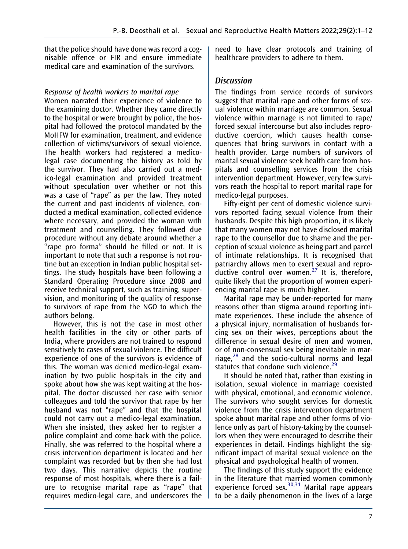that the police should have done was record a cognisable offence or FIR and ensure immediate medical care and examination of the survivors.

# Response of health workers to marital rape

Women narrated their experience of violence to the examining doctor. Whether they came directly to the hospital or were brought by police, the hospital had followed the protocol mandated by the MoHFW for examination, treatment, and evidence collection of victims/survivors of sexual violence. The health workers had registered a medicolegal case documenting the history as told by the survivor. They had also carried out a medico-legal examination and provided treatment without speculation over whether or not this was a case of "rape" as per the law. They noted the current and past incidents of violence, conducted a medical examination, collected evidence where necessary, and provided the woman with treatment and counselling. They followed due procedure without any debate around whether a "rape pro forma" should be filled or not. It is important to note that such a response is not routine but an exception in Indian public hospital settings. The study hospitals have been following a Standard Operating Procedure since 2008 and receive technical support, such as training, supervision, and monitoring of the quality of response to survivors of rape from the NGO to which the authors belong.

However, this is not the case in most other health facilities in the city or other parts of India, where providers are not trained to respond sensitively to cases of sexual violence. The difficult experience of one of the survivors is evidence of this. The woman was denied medico-legal examination by two public hospitals in the city and spoke about how she was kept waiting at the hospital. The doctor discussed her case with senior colleagues and told the survivor that rape by her husband was not "rape" and that the hospital could not carry out a medico-legal examination. When she insisted, they asked her to register a police complaint and come back with the police. Finally, she was referred to the hospital where a crisis intervention department is located and her complaint was recorded but by then she had lost two days. This narrative depicts the routine response of most hospitals, where there is a failure to recognise marital rape as "rape" that requires medico-legal care, and underscores the need to have clear protocols and training of healthcare providers to adhere to them.

# **Discussion**

The findings from service records of survivors suggest that marital rape and other forms of sexual violence within marriage are common. Sexual violence within marriage is not limited to rape/ forced sexual intercourse but also includes reproductive coercion, which causes health consequences that bring survivors in contact with a health provider. Large numbers of survivors of marital sexual violence seek health care from hospitals and counselling services from the crisis intervention department. However, very few survivors reach the hospital to report marital rape for medico-legal purposes.

Fifty-eight per cent of domestic violence survivors reported facing sexual violence from their husbands. Despite this high proportion, it is likely that many women may not have disclosed marital rape to the counsellor due to shame and the perception of sexual violence as being part and parcel of intimate relationships. It is recognised that patriarchy allows men to exert sexual and repro-ductive control over women.<sup>[27](#page-11-2)</sup> It is, therefore, quite likely that the proportion of women experiencing marital rape is much higher.

<span id="page-7-0"></span>Marital rape may be under-reported for many reasons other than stigma around reporting intimate experiences. These include the absence of a physical injury, normalisation of husbands forcing sex on their wives, perceptions about the difference in sexual desire of men and women, or of non-consensual sex being inevitable in marriage, $28$  and the socio-cultural norms and legal statutes that condone such violence. $29$ 

<span id="page-7-2"></span><span id="page-7-1"></span>It should be noted that, rather than existing in isolation, sexual violence in marriage coexisted with physical, emotional, and economic violence. The survivors who sought services for domestic violence from the crisis intervention department spoke about marital rape and other forms of violence only as part of history-taking by the counsellors when they were encouraged to describe their experiences in detail. Findings highlight the significant impact of marital sexual violence on the physical and psychological health of women.

<span id="page-7-3"></span>The findings of this study support the evidence in the literature that married women commonly  $\frac{1}{2}$  experience forced sex.<sup>[30](#page-11-5)[,31](#page-11-6)</sup> Marital rape appears to be a daily phenomenon in the lives of a large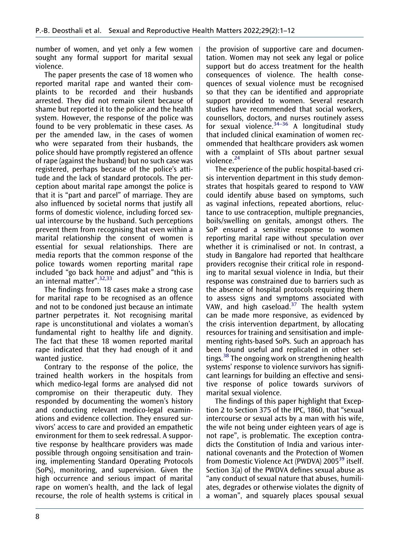number of women, and yet only a few women sought any formal support for marital sexual violence.

The paper presents the case of 18 women who reported marital rape and wanted their complaints to be recorded and their husbands arrested. They did not remain silent because of shame but reported it to the police and the health system. However, the response of the police was found to be very problematic in these cases. As per the amended law, in the cases of women who were separated from their husbands, the police should have promptly registered an offence of rape (against the husband) but no such case was registered, perhaps because of the police's attitude and the lack of standard protocols. The perception about marital rape amongst the police is that it is "part and parcel" of marriage. They are also influenced by societal norms that justify all forms of domestic violence, including forced sexual intercourse by the husband. Such perceptions prevent them from recognising that even within a marital relationship the consent of women is essential for sexual relationships. There are media reports that the common response of the police towards women reporting marital rape included "go back home and adjust" and "this is an internal matter".<sup>[32](#page-11-7)[,33](#page-11-8)</sup>

The findings from 18 cases make a strong case for marital rape to be recognised as an offence and not to be condoned just because an intimate partner perpetrates it. Not recognising marital rape is unconstitutional and violates a woman's fundamental right to healthy life and dignity. The fact that these 18 women reported marital rape indicated that they had enough of it and wanted justice.

Contrary to the response of the police, the trained health workers in the hospitals from which medico-legal forms are analysed did not compromise on their therapeutic duty. They responded by documenting the women's history and conducting relevant medico-legal examinations and evidence collection. They ensured survivors' access to care and provided an empathetic environment for them to seek redressal. A supportive response by healthcare providers was made possible through ongoing sensitisation and training, implementing Standard Operating Protocols (SoPs), monitoring, and supervision. Given the high occurrence and serious impact of marital rape on women's health, and the lack of legal recourse, the role of health systems is critical in

the provision of supportive care and documentation. Women may not seek any legal or police support but do access treatment for the health consequences of violence. The health consequences of sexual violence must be recognised so that they can be identified and appropriate support provided to women. Several research studies have recommended that social workers, counsellors, doctors, and nurses routinely assess for sexual violence.<sup>34–36</sup> A longitudinal study that included clinical examination of women recommended that healthcare providers ask women with a complaint of STIs about partner sexual violence.<sup>[24](#page-11-9)</sup>

<span id="page-8-1"></span><span id="page-8-0"></span>The experience of the public hospital-based crisis intervention department in this study demonstrates that hospitals geared to respond to VAW could identify abuse based on symptoms, such as vaginal infections, repeated abortions, reluctance to use contraception, multiple pregnancies, boils/swelling on genitals, amongst others. The SoP ensured a sensitive response to women reporting marital rape without speculation over whether it is criminalised or not. In contrast, a study in Bangalore had reported that healthcare providers recognise their critical role in responding to marital sexual violence in India, but their response was constrained due to barriers such as the absence of hospital protocols requiring them to assess signs and symptoms associated with VAW, and high caseload. $37$  The health system can be made more responsive, as evidenced by the crisis intervention department, by allocating resources for training and sensitisation and implementing rights-based SoPs. Such an approach has been found useful and replicated in other settings.<sup>38</sup> The ongoing work on strengthening health systems' response to violence survivors has significant learnings for building an effective and sensitive response of police towards survivors of marital sexual violence.

<span id="page-8-2"></span>The findings of this paper highlight that Exception 2 to Section 375 of the IPC, 1860, that "sexual intercourse or sexual acts by a man with his wife, the wife not being under eighteen years of age is not rape", is problematic. The exception contradicts the Constitution of India and various international covenants and the Protection of Women from Domestic Violence Act (PWDVA) 2005<sup>39</sup> itself. Section 3(a) of the PWDVA defines sexual abuse as "any conduct of sexual nature that abuses, humiliates, degrades or otherwise violates the dignity of a woman", and squarely places spousal sexual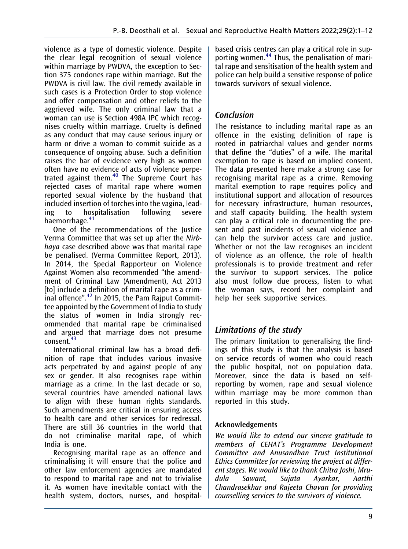violence as a type of domestic violence. Despite the clear legal recognition of sexual violence within marriage by PWDVA, the exception to Section 375 condones rape within marriage. But the PWDVA is civil law. The civil remedy available in such cases is a Protection Order to stop violence and offer compensation and other reliefs to the aggrieved wife. The only criminal law that a woman can use is Section 498A IPC which recognises cruelty within marriage. Cruelty is defined as any conduct that may cause serious injury or harm or drive a woman to commit suicide as a consequence of ongoing abuse. Such a definition raises the bar of evidence very high as women often have no evidence of acts of violence perpe-trated against them.<sup>[40](#page-11-13)</sup> The Supreme Court has rejected cases of marital rape where women reported sexual violence by the husband that included insertion of torches into the vagina, leading to hospitalisation following severe haemorrhage.<sup>[41](#page-11-14)</sup>

One of the recommendations of the Justice Verma Committee that was set up after the Nirbhaya case described above was that marital rape be penalised. (Verma Committee Report, 2013). In 2014, the Special Rapporteur on Violence Against Women also recommended "the amendment of Criminal Law (Amendment), Act 2013 [to] include a definition of marital rape as a criminal offence". [42](#page-11-15) In 2015, the Pam Rajput Committee appointed by the Government of India to study the status of women in India strongly recommended that marital rape be criminalised and argued that marriage does not presume  $\arctan \frac{43}{4}$  $\arctan \frac{43}{4}$  $\arctan \frac{43}{4}$ 

International criminal law has a broad definition of rape that includes various invasive acts perpetrated by and against people of any sex or gender. It also recognises rape within marriage as a crime. In the last decade or so, several countries have amended national laws to align with these human rights standards. Such amendments are critical in ensuring access to health care and other services for redressal. There are still 36 countries in the world that do not criminalise marital rape, of which India is one.

Recognising marital rape as an offence and criminalising it will ensure that the police and other law enforcement agencies are mandated to respond to marital rape and not to trivialise it. As women have inevitable contact with the health system, doctors, nurses, and hospitalbased crisis centres can play a critical role in supporting women.[44](#page-11-17) Thus, the penalisation of marital rape and sensitisation of the health system and police can help build a sensitive response of police towards survivors of sexual violence.

# Conclusion

The resistance to including marital rape as an offence in the existing definition of rape is rooted in patriarchal values and gender norms that define the "duties" of a wife. The marital exemption to rape is based on implied consent. The data presented here make a strong case for recognising marital rape as a crime. Removing marital exemption to rape requires policy and institutional support and allocation of resources for necessary infrastructure, human resources, and staff capacity building. The health system can play a critical role in documenting the present and past incidents of sexual violence and can help the survivor access care and justice. Whether or not the law recognises an incident of violence as an offence, the role of health professionals is to provide treatment and refer the survivor to support services. The police also must follow due process, listen to what the woman says, record her complaint and help her seek supportive services.

# Limitations of the study

The primary limitation to generalising the findings of this study is that the analysis is based on service records of women who could reach the public hospital, not on population data. Moreover, since the data is based on selfreporting by women, rape and sexual violence within marriage may be more common than reported in this study.

# Acknowledgements

We would like to extend our sincere gratitude to members of CEHAT's Programme Development Committee and Anusandhan Trust Institutional Ethics Committee for reviewing the project at different stages. We would like to thank Chitra Joshi, Mrudula Sawant, Sujata Ayarkar, Aarthi Chandrasekhar and Rajeeta Chavan for providing counselling services to the survivors of violence.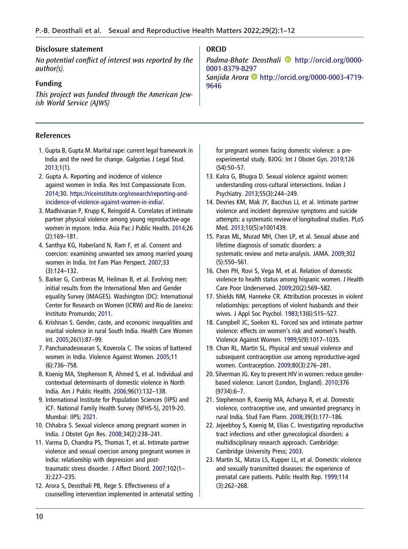## Disclosure statement

No potential conflict of interest was reported by the author(s).

# Funding

This project was funded through the American Jewish World Service (AJWS)

## References

- <span id="page-10-0"></span>1. Gupta B, Gupta M. Marital rape: current legal framework in India and the need for change. Galgotias J Legal Stud. [2013;](#page-1-1)1(1).
- <span id="page-10-1"></span>2. Gupta A. Reporting and incidence of violence against women in India. Res Inst Compassionate Econ. [2014;](#page-2-2)30. [https://riceinstitute.org/research/reporting-and](https://riceinstitute.org/research/reporting-and-incidence-of-violence-against-women-in-india/)[incidence-of-violence-against-women-in-india/](https://riceinstitute.org/research/reporting-and-incidence-of-violence-against-women-in-india/).
- <span id="page-10-2"></span>3. Madhivanan P, Krupp K, Reingold A. Correlates of intimate partner physical violence among young reproductive-age women in mysore. India. Asia Pac J Public Health. [2014](#page-2-3);26 (2):169–181.
- <span id="page-10-3"></span>4. Santhya KG, Haberland N, Ram F, et al. Consent and coercion: examining unwanted sex among married young women in India. Int Fam Plan Perspect. [2007](#page-2-4);33 (3):124–132.
- <span id="page-10-4"></span>5. Barker G, Contreras M, Heilman B, et al. Evolving men: initial results from the International Men and Gender equality Survey (IMAGES). Washington (DC): International Center for Research on Women (ICRW) and Rio de Janeiro: Instituto Promundo; [2011.](#page-2-5)
- <span id="page-10-5"></span>6. Krishnan S. Gender, caste, and economic inequalities and marital violence in rural South India. Health Care Women Int. [2005;](#page-2-6)26(1):87–99.
- <span id="page-10-6"></span>7. Panchanadeswaran S, Koverola C. The voices of battered women in India. Violence Against Women. [2005;](#page-2-7)11 (6):736–758.
- <span id="page-10-7"></span>8. Koenig MA, Stephenson R, Ahmed S, et al. Individual and contextual determinants of domestic violence in North India. Am J Public Health. [2006;](#page-2-8)96(1):132–138.
- <span id="page-10-8"></span>9. International Institute for Population Sciences (IIPS) and ICF. National Family Health Survey (NFHS-5), 2019-20. Mumbai: IIPS; [2021.](#page-2-9)
- <span id="page-10-9"></span>10. Chhabra S. Sexual violence among pregnant women in India. J Obstet Gyn Res. [2008](#page-2-10);34(2):238–241.
- <span id="page-10-10"></span>11. Varma D, Chandra PS, Thomas T, et al. Intimate partner violence and sexual coercion among pregnant women in India: relationship with depression and posttraumatic stress disorder. J Affect Disord. [2007;](#page-2-11)102(1– 3):227–235.
- <span id="page-10-11"></span>12. Arora S, Deosthali PB, Rege S. Effectiveness of a counselling intervention implemented in antenatal setting

# ORCID

Padma-Bhate Deosthali **b** [http://orcid.org/0000-](http://orcid.org/0000-0001-8379-8297) [0001-8379-8297](http://orcid.org/0000-0001-8379-8297) Sanjida Arora [http://orcid.org/0000-0003-4719-](http://orcid.org/0000-0003-4719-9646) [9646](http://orcid.org/0000-0003-4719-9646)

for pregnant women facing domestic violence: a preexperimental study. BJOG: Int J Obstet Gyn. [2019;](#page-2-12)126 (S4):50–57.

- <span id="page-10-12"></span>13. Kalra G, Bhugra D. Sexual violence against women: understanding cross-cultural intersections. Indian J Psychiatry. [2013;](#page-2-13)55(3):244–249.
- 14. Devries KM, Mak JY, Bacchus LJ, et al. Intimate partner violence and incident depressive symptoms and suicide attempts: a systematic review of longitudinal studies. PLoS Med. [2013;](#page-3-0)10(5):e1001439.
- 15. Paras ML, Murad MH, Chen LP, et al. Sexual abuse and lifetime diagnosis of somatic disorders: a systematic review and meta-analysis. JAMA. 2009;302 (5):550–561.
- 16. Chen PH, Rovi S, Vega M, et al. Relation of domestic violence to health status among hispanic women. J Health Care Poor Underserved. 2009;20(2):569–582.
- <span id="page-10-13"></span>17. Shields NM, Hanneke CR. Attribution processes in violent relationships: perceptions of violent husbands and their wives. J Appl Soc Psychol. [1983;](#page-3-1)13(6):515–527.
- <span id="page-10-14"></span>18. Campbell JC, Soeken KL. Forced sex and intimate partner violence: effects on women's risk and women's health. Violence Against Women. [1999](#page-3-1);5(9):1017–1035.
- 19. Chan RL, Martin SL. Physical and sexual violence and subsequent contraception use among reproductive-aged women. Contraception. [2009](#page-3-2);80(3):276–281.
- 20. Silverman JG. Key to prevent HIV in women: reduce genderbased violence. Lancet (London, England). 2010;376 (9734):6–7.
- 21. Stephenson R, Koenig MA, Acharya R, et al. Domestic violence, contraceptive use, and unwanted pregnancy in rural India. Stud Fam Plann. 2008;39(3):177–186.
- 22. Jejeebhoy S, Koenig M, Elias C. Investigating reproductive tract infections and other gynecological disorders: a multidisciplinary research approach. Cambridge: Cambridge University Press; [2003.](#page-3-3)
- 23. Martin SL, Matza LS, Kupper LL, et al. Domestic violence and sexually transmitted diseases: the experience of prenatal care patients. Public Health Rep. 1999;114 (3):262–268.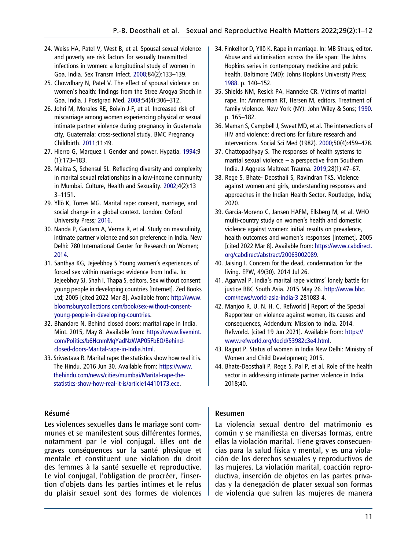- <span id="page-11-9"></span>24. Weiss HA, Patel V, West B, et al. Spousal sexual violence and poverty are risk factors for sexually transmitted infections in women: a longitudinal study of women in Goa, India. Sex Transm Infect. [2008;](#page-8-0)84(2):133–139.
- <span id="page-11-0"></span>25. Chowdhary N, Patel V. The effect of spousal violence on women's health: findings from the Stree Arogya Shodh in Goa, India. J Postgrad Med. [2008;](#page-3-4)54(4):306–312.
- <span id="page-11-1"></span>26. Johri M, Morales RE, Boivin J-F, et al. Increased risk of miscarriage among women experiencing physical or sexual intimate partner violence during pregnancy in Guatemala city, Guatemala: cross-sectional study. BMC Pregnancy Childbirth. [2011](#page-3-5);11:49.
- <span id="page-11-2"></span>27. Hierro G, Marquez I. Gender and power. Hypatia. [1994](#page-7-0);9 (1):173–183.
- <span id="page-11-3"></span>28. Maitra S, Schensul SL. Reflecting diversity and complexity in marital sexual relationships in a low-income community in Mumbai. Culture, Health and Sexuality. [2002;](#page-7-1)4(2):13 3–1151.
- <span id="page-11-4"></span>29. Yllö K, Torres MG. Marital rape: consent, marriage, and social change in a global context. London: Oxford University Press; [2016.](#page-7-2)
- <span id="page-11-5"></span>30. Nanda P, Gautam A, Verma R, et al. Study on masculinity, intimate partner violence and son preference in India. New Delhi: 780 International Center for Research on Women; [2014](#page-7-3).
- <span id="page-11-6"></span>31. Santhya KG, Jejeebhoy S Young women's experiences of forced sex within marriage: evidence from India. In: Jejeebhoy SJ, Shah I, Thapa S, editors. Sex without consent: young people in developing countries [Internet]. Zed Books Ltd; 2005 [cited 2022 Mar 8]. Available from: [http://www.](http://www.bloomsburycollections.com/book/sex-without-consent-young-people-in-developing-countries) [bloomsburycollections.com/book/sex-without-consent](http://www.bloomsburycollections.com/book/sex-without-consent-young-people-in-developing-countries)[young-people-in-developing-countries.](http://www.bloomsburycollections.com/book/sex-without-consent-young-people-in-developing-countries)
- <span id="page-11-7"></span>32. Bhandare N. Behind closed doors: marital rape in India. Mint. 2015, May 8. Available from: [https://www.livemint.](https://www.livemint.com/Politics/b6HcnmMqYadNzWAP05FbEO/Behind-closed-doors-Marital-rape-in-India.html) [com/Politics/b6HcnmMqYadNzWAP05FbEO/Behind](https://www.livemint.com/Politics/b6HcnmMqYadNzWAP05FbEO/Behind-closed-doors-Marital-rape-in-India.html)[closed-doors-Marital-rape-in-India.html.](https://www.livemint.com/Politics/b6HcnmMqYadNzWAP05FbEO/Behind-closed-doors-Marital-rape-in-India.html)
- <span id="page-11-8"></span>33. Srivastava R. Marital rape: the statistics show how real it is. The Hindu. 2016 Jun 30. Available from: [https://www.](https://www.thehindu.com/news/cities/mumbai/Marital-rape-the-statistics-show-how-real-it-is/article14410173.ece) [thehindu.com/news/cities/mumbai/Marital-rape-the](https://www.thehindu.com/news/cities/mumbai/Marital-rape-the-statistics-show-how-real-it-is/article14410173.ece)[statistics-show-how-real-it-is/article14410173.ece](https://www.thehindu.com/news/cities/mumbai/Marital-rape-the-statistics-show-how-real-it-is/article14410173.ece).
- 34. Finkelhor D, Yllö K. Rape in marriage. In: MB Straus, editor. Abuse and victimisation across the life span: The Johns Hopkins series in contemporary medicine and public health. Baltimore (MD): Johns Hopkins University Press; [1988](#page-8-1). p. 140–152.
- 35. Shields NM, Resick PA, Hanneke CR. Victims of marital rape. In: Ammerman RT, Hersen M, editors. Treatment of family violence. New York (NY): John Wiley & Sons; 1990. p. 165–182.
- 36. Maman S, Campbell J, Sweat MD, et al. The intersections of HIV and violence: directions for future research and interventions. Social Sci Med (1982). 2000;50(4):459–478.
- <span id="page-11-10"></span>37. Chattopadhyay S. The responses of health systems to marital sexual violence – a perspective from Southern India. J Aggress Maltreat Trauma. [2019](#page-8-2);28(1):47–67.
- <span id="page-11-11"></span>38. Rege S, Bhate- Deosthali S, Ravindran TKS. Violence against women and girls, understanding responses and approaches in the Indian Health Sector. Routledge, India; 2020.
- <span id="page-11-12"></span>39. García-Moreno C, Jansen HAFM, Ellsberg M, et al. WHO multi-country study on women's health and domestic violence against women: initial results on prevalence, health outcomes and women's responses [Internet]. 2005 [cited 2022 Mar 8]. Available from: [https://www.cabdirect.](https://www.cabdirect.org/cabdirect/abstract/20063002089) [org/cabdirect/abstract/20063002089](https://www.cabdirect.org/cabdirect/abstract/20063002089).
- <span id="page-11-13"></span>40. Jaising I. Concern for the dead, condemnation for the living. EPW, 49(30). 2014 Jul 26.
- <span id="page-11-14"></span>41. Agarwal P. India's marital rape victims' lonely battle for justice BBC South Asia. 2015 May 26. [http://www.bbc.](http://www.bbc.com/news/world-asia-india-3) [com/news/world-asia-india-3](http://www.bbc.com/news/world-asia-india-3) 281083 4.
- <span id="page-11-15"></span>42. Manjoo R. U. N. H. C. Refworld | Report of the Special Rapporteur on violence against women, its causes and consequences, Addendum: Mission to India. 2014. Refworld. [cited 19 Jun 2021]. Available from: [https://](https://www.refworld.org/docid/53982c3e4.html) [www.refworld.org/docid/53982c3e4.html](https://www.refworld.org/docid/53982c3e4.html).
- <span id="page-11-16"></span>43. Rajput P. Status of women in India New Delhi: Ministry of Women and Child Development; 2015.
- <span id="page-11-17"></span>44. Bhate-Deosthali P, Rege S, Pal P, et al. Role of the health sector in addressing intimate partner violence in India. 2018;40.

## Résumé

Les violences sexuelles dans le mariage sont communes et se manifestent sous différentes formes, notamment par le viol conjugal. Elles ont de graves conséquences sur la santé physique et mentale et constituent une violation du droit des femmes à la santé sexuelle et reproductive. Le viol conjugal, l'obligation de procréer, l'insertion d'objets dans les parties intimes et le refus du plaisir sexuel sont des formes de violences

# Resumen

La violencia sexual dentro del matrimonio es común y se manifiesta en diversas formas, entre ellas la violación marital. Tiene graves consecuencias para la salud física y mental, y es una violación de los derechos sexuales y reproductivos de las mujeres. La violación marital, coacción reproductiva, inserción de objetos en las partes privadas y la denegación de placer sexual son formas de violencia que sufren las mujeres de manera